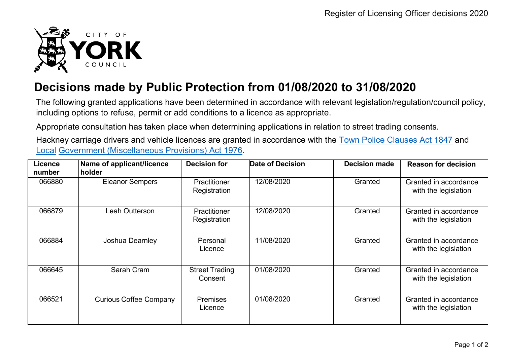

## **Decisions made by Public Protection from 01/08/2020 to 31/08/2020**

The following granted applications have been determined in accordance with relevant legislation/regulation/council policy, including options to refuse, permit or add conditions to a licence as appropriate.

Appropriate consultation has taken place when determining applications in relation to street trading consents.

Hackney carriage drivers and vehicle licences are granted in accordance with the Town Police [Clauses](http://www.legislation.gov.uk/ukpga/Vict/10-11/89) Act 1847 and [Local](http://www.legislation.gov.uk/ukpga/1976/57) [Government \(Miscellaneous Provisions\) Act 1976.](http://www.legislation.gov.uk/ukpga/1976/57)

| <b>Licence</b><br>number | Name of applicant/licence<br>holder | <b>Decision for</b>              | <b>Date of Decision</b> | <b>Decision made</b> | <b>Reason for decision</b>                    |
|--------------------------|-------------------------------------|----------------------------------|-------------------------|----------------------|-----------------------------------------------|
| 066880                   | <b>Eleanor Sempers</b>              | Practitioner<br>Registration     | 12/08/2020              | Granted              | Granted in accordance<br>with the legislation |
| 066879                   | Leah Outterson                      | Practitioner<br>Registration     | 12/08/2020              | Granted              | Granted in accordance<br>with the legislation |
| 066884                   | Joshua Dearnley                     | Personal<br>Licence              | 11/08/2020              | Granted              | Granted in accordance<br>with the legislation |
| 066645                   | Sarah Cram                          | <b>Street Trading</b><br>Consent | 01/08/2020              | Granted              | Granted in accordance<br>with the legislation |
| 066521                   | <b>Curious Coffee Company</b>       | <b>Premises</b><br>Licence       | 01/08/2020              | Granted              | Granted in accordance<br>with the legislation |